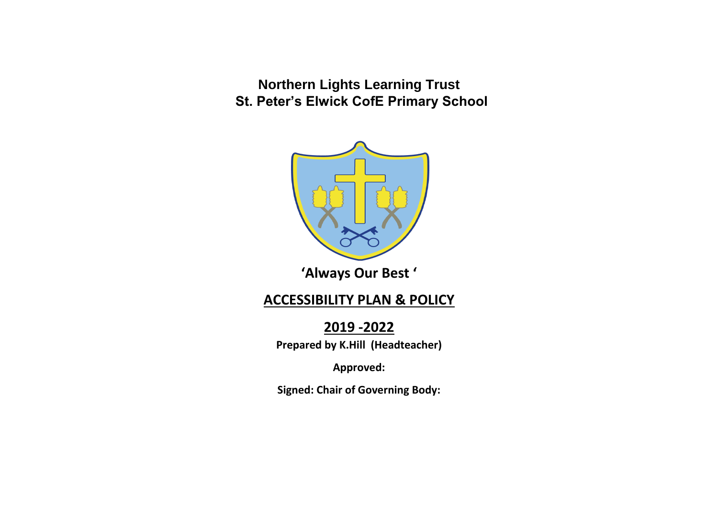**Northern Lights Learning Trust St. Peter's Elwick CofE Primary School** 



**'Always Our Best '**

# **ACCESSIBILITY PLAN & POLICY**

**2019 -2022**

**Prepared by K.Hill (Headteacher)**

**Approved:**

**Signed: Chair of Governing Body:**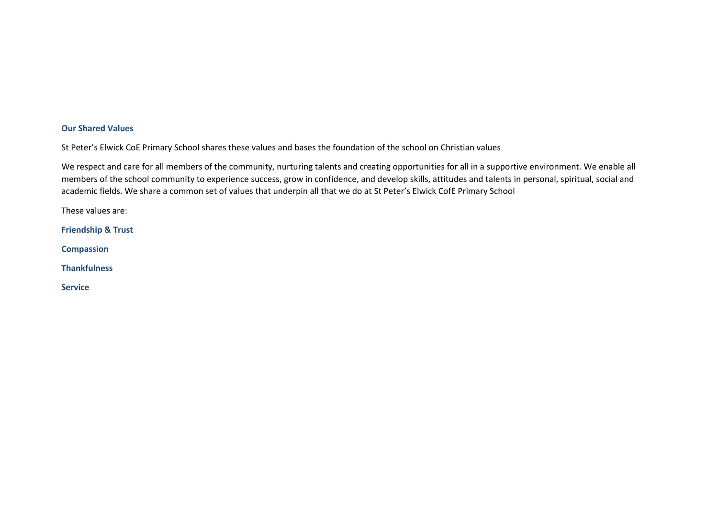#### **Our Shared Values**

St Peter's Elwick CoE Primary School shares these values and bases the foundation of the school on Christian values

We respect and care for all members of the community, nurturing talents and creating opportunities for all in a supportive environment. We enable all members of the school community to experience success, grow in confidence, and develop skills, attitudes and talents in personal, spiritual, social and academic fields. We share a common set of values that underpin all that we do at St Peter's Elwick CofE Primary School

These values are:

**Friendship & Trust**

**Compassion**

**Thankfulness**

**Service**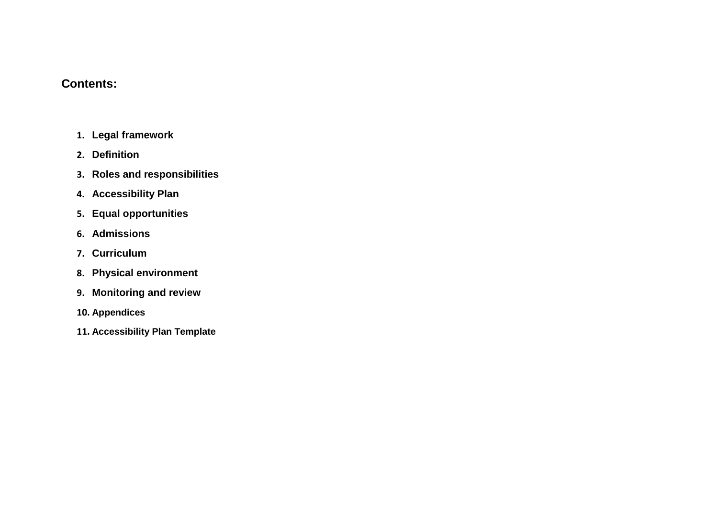#### **Contents:**

- **1. [Legal framework](https://schoolbusukdata.blob.core.windows.net/theschoolbus/ArticleAttachment/2371/Accessibility_Policy_20190524.docx?sv=2015-12-11&sr=b&sig=zFLXnSj6%2BL1UBAynMdAxVF%2FOPlV4N%2FWDalVWQ3xSjbs%3D&st=2019-10-08T09%3A01%3A30Z&se=2019-10-08T11%3A01%3A30Z&sp=r#_Peafowl_and_the)**
- **2. [Definition](https://schoolbusukdata.blob.core.windows.net/theschoolbus/ArticleAttachment/2371/Accessibility_Policy_20190524.docx?sv=2015-12-11&sr=b&sig=zFLXnSj6%2BL1UBAynMdAxVF%2FOPlV4N%2FWDalVWQ3xSjbs%3D&st=2019-10-08T09%3A01%3A30Z&se=2019-10-08T11%3A01%3A30Z&sp=r#_Definition)**
- **3. [Roles and responsibilities](https://schoolbusukdata.blob.core.windows.net/theschoolbus/ArticleAttachment/2371/Accessibility_Policy_20190524.docx?sv=2015-12-11&sr=b&sig=zFLXnSj6%2BL1UBAynMdAxVF%2FOPlV4N%2FWDalVWQ3xSjbs%3D&st=2019-10-08T09%3A01%3A30Z&se=2019-10-08T11%3A01%3A30Z&sp=r#_Roles_and_responsibilities)**
- **4. [Accessibility Plan](https://schoolbusukdata.blob.core.windows.net/theschoolbus/ArticleAttachment/2371/Accessibility_Policy_20190524.docx?sv=2015-12-11&sr=b&sig=zFLXnSj6%2BL1UBAynMdAxVF%2FOPlV4N%2FWDalVWQ3xSjbs%3D&st=2019-10-08T09%3A01%3A30Z&se=2019-10-08T11%3A01%3A30Z&sp=r#_Accessibility_Plan)**
- **5. [Equal opportunities](https://schoolbusukdata.blob.core.windows.net/theschoolbus/ArticleAttachment/2371/Accessibility_Policy_20190524.docx?sv=2015-12-11&sr=b&sig=zFLXnSj6%2BL1UBAynMdAxVF%2FOPlV4N%2FWDalVWQ3xSjbs%3D&st=2019-10-08T09%3A01%3A30Z&se=2019-10-08T11%3A01%3A30Z&sp=r#_Equal_opportunities)**
- **6. [Admissions](https://schoolbusukdata.blob.core.windows.net/theschoolbus/ArticleAttachment/2371/Accessibility_Policy_20190524.docx?sv=2015-12-11&sr=b&sig=zFLXnSj6%2BL1UBAynMdAxVF%2FOPlV4N%2FWDalVWQ3xSjbs%3D&st=2019-10-08T09%3A01%3A30Z&se=2019-10-08T11%3A01%3A30Z&sp=r#_Admissions)**
- **7. [Curriculum](https://schoolbusukdata.blob.core.windows.net/theschoolbus/ArticleAttachment/2371/Accessibility_Policy_20190524.docx?sv=2015-12-11&sr=b&sig=zFLXnSj6%2BL1UBAynMdAxVF%2FOPlV4N%2FWDalVWQ3xSjbs%3D&st=2019-10-08T09%3A01%3A30Z&se=2019-10-08T11%3A01%3A30Z&sp=r#_Curriculum)**
- **8. [Physical environment](https://schoolbusukdata.blob.core.windows.net/theschoolbus/ArticleAttachment/2371/Accessibility_Policy_20190524.docx?sv=2015-12-11&sr=b&sig=zFLXnSj6%2BL1UBAynMdAxVF%2FOPlV4N%2FWDalVWQ3xSjbs%3D&st=2019-10-08T09%3A01%3A30Z&se=2019-10-08T11%3A01%3A30Z&sp=r#_Physical_environment)**
- **9. [Monitoring and review](https://schoolbusukdata.blob.core.windows.net/theschoolbus/ArticleAttachment/2371/Accessibility_Policy_20190524.docx?sv=2015-12-11&sr=b&sig=zFLXnSj6%2BL1UBAynMdAxVF%2FOPlV4N%2FWDalVWQ3xSjbs%3D&st=2019-10-08T09%3A01%3A30Z&se=2019-10-08T11%3A01%3A30Z&sp=r#_Monitoring_and_review)**
- **10. Appendices**
- **11. [Accessibility Plan Template](https://schoolbusukdata.blob.core.windows.net/theschoolbus/ArticleAttachment/2371/Accessibility_Policy_20190524.docx?sv=2015-12-11&sr=b&sig=zFLXnSj6%2BL1UBAynMdAxVF%2FOPlV4N%2FWDalVWQ3xSjbs%3D&st=2019-10-08T09%3A01%3A30Z&se=2019-10-08T11%3A01%3A30Z&sp=r#AppendixA)**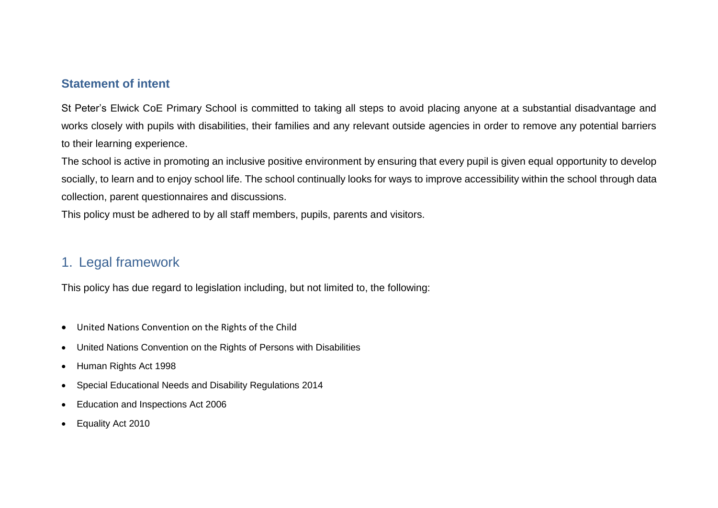#### **Statement of intent**

St Peter's Elwick CoE Primary School is committed to taking all steps to avoid placing anyone at a substantial disadvantage and works closely with pupils with disabilities, their families and any relevant outside agencies in order to remove any potential barriers to their learning experience.

The school is active in promoting an inclusive positive environment by ensuring that every pupil is given equal opportunity to develop socially, to learn and to enjoy school life. The school continually looks for ways to improve accessibility within the school through data collection, parent questionnaires and discussions.

This policy must be adhered to by all staff members, pupils, parents and visitors.

### 1. Legal framework

This policy has due regard to legislation including, but not limited to, the following:

- United Nations Convention on the Rights of the Child
- United Nations Convention on the Rights of Persons with Disabilities
- Human Rights Act 1998
- Special Educational Needs and Disability Regulations 2014
- Education and Inspections Act 2006
- Equality Act 2010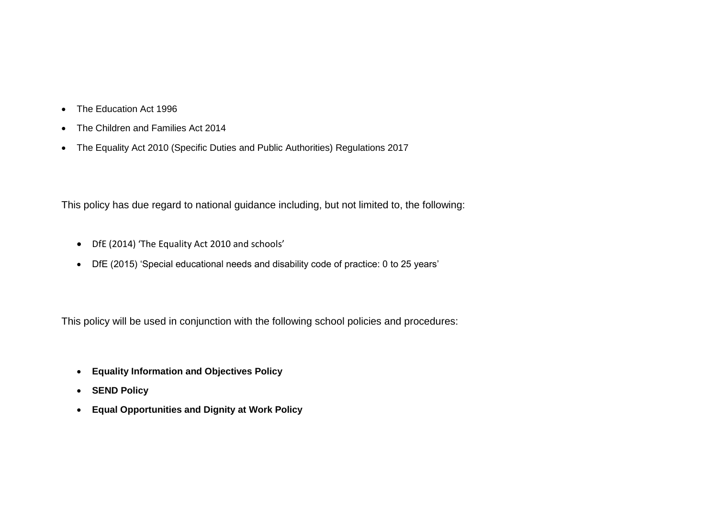- The Education Act 1996
- The Children and Families Act 2014
- The Equality Act 2010 (Specific Duties and Public Authorities) Regulations 2017

This policy has due regard to national guidance including, but not limited to, the following:

- DfE (2014) 'The Equality Act 2010 and schools'
- DfE (2015) 'Special educational needs and disability code of practice: 0 to 25 years'

This policy will be used in conjunction with the following school policies and procedures:

- **Equality Information and Objectives Policy**
- **SEND Policy**
- **Equal Opportunities and Dignity at Work Policy**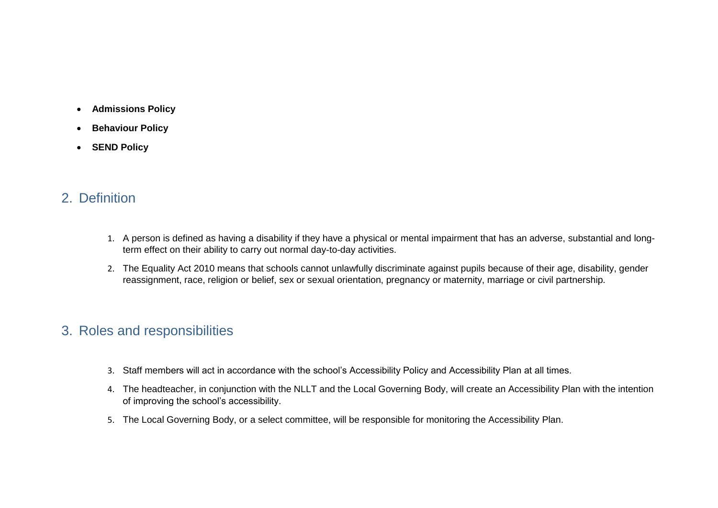- **Admissions Policy**
- **•** Behaviour Policy
- **SEND Policy**

# 2. Definition

- 1. A person is defined as having a disability if they have a physical or mental impairment that has an adverse, substantial and longterm effect on their ability to carry out normal day-to-day activities.
- 2. The Equality Act 2010 means that schools cannot unlawfully discriminate against pupils because of their age, disability, gender reassignment, race, religion or belief, sex or sexual orientation, pregnancy or maternity, marriage or civil partnership.

# 3. Roles and responsibilities

- 3. Staff members will act in accordance with the school's Accessibility Policy and Accessibility Plan at all times.
- 4. The headteacher, in conjunction with the NLLT and the Local Governing Body, will create an Accessibility Plan with the intention of improving the school's accessibility.
- 5. The Local Governing Body, or a select committee, will be responsible for monitoring the Accessibility Plan.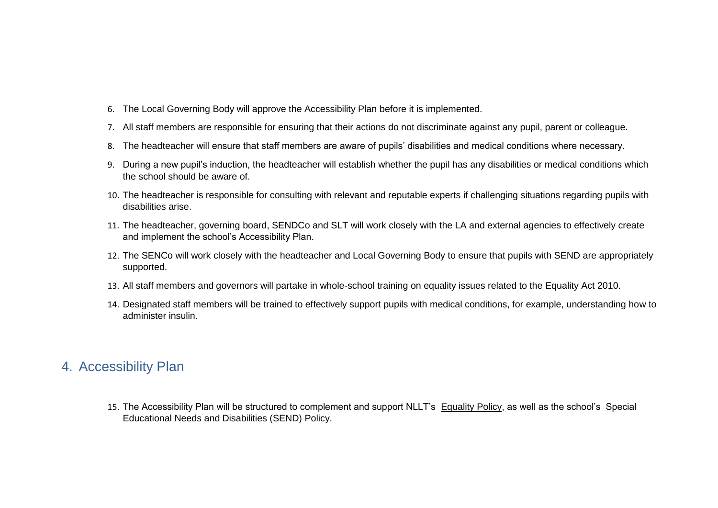- 6. The Local Governing Body will approve the Accessibility Plan before it is implemented.
- 7. All staff members are responsible for ensuring that their actions do not discriminate against any pupil, parent or colleague.
- 8. The headteacher will ensure that staff members are aware of pupils' disabilities and medical conditions where necessary.
- 9. During a new pupil's induction, the headteacher will establish whether the pupil has any disabilities or medical conditions which the school should be aware of.
- 10. The headteacher is responsible for consulting with relevant and reputable experts if challenging situations regarding pupils with disabilities arise.
- 11. The headteacher, governing board, SENDCo and SLT will work closely with the LA and external agencies to effectively create and implement the school's Accessibility Plan.
- 12. The SENCo will work closely with the headteacher and Local Governing Body to ensure that pupils with SEND are appropriately supported.
- 13. All staff members and governors will partake in whole-school training on equality issues related to the Equality Act 2010.
- 14. Designated staff members will be trained to effectively support pupils with medical conditions, for example, understanding how to administer insulin.

### 4. Accessibility Plan

15. The Accessibility Plan will be structured to complement and support NLLT's Equality Policy, as well as the school's Special Educational Needs and Disabilities (SEND) Policy.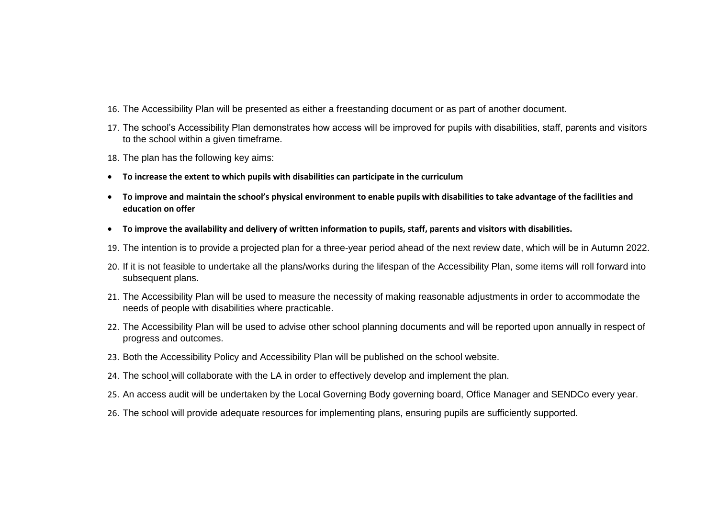- 16. The Accessibility Plan will be presented as either a freestanding document or as part of another document.
- 17. The school's Accessibility Plan demonstrates how access will be improved for pupils with disabilities, staff, parents and visitors to the school within a given timeframe.
- 18. The plan has the following key aims:
- **To increase the extent to which pupils with disabilities can participate in the curriculum**
- **To improve and maintain the school's physical environment to enable pupils with disabilities to take advantage of the facilities and education on offer**
- **To improve the availability and delivery of written information to pupils, staff, parents and visitors with disabilities.**
- 19. The intention is to provide a projected plan for a three-year period ahead of the next review date, which will be in Autumn 2022.
- 20. If it is not feasible to undertake all the plans/works during the lifespan of the Accessibility Plan, some items will roll forward into subsequent plans.
- 21. The Accessibility Plan will be used to measure the necessity of making reasonable adjustments in order to accommodate the needs of people with disabilities where practicable.
- 22. The Accessibility Plan will be used to advise other school planning documents and will be reported upon annually in respect of progress and outcomes.
- 23. Both the Accessibility Policy and Accessibility Plan will be published on the school website.
- 24. The school will collaborate with the LA in order to effectively develop and implement the plan.
- 25. An access audit will be undertaken by the Local Governing Body governing board, Office Manager and SENDCo every year.
- 26. The school will provide adequate resources for implementing plans, ensuring pupils are sufficiently supported.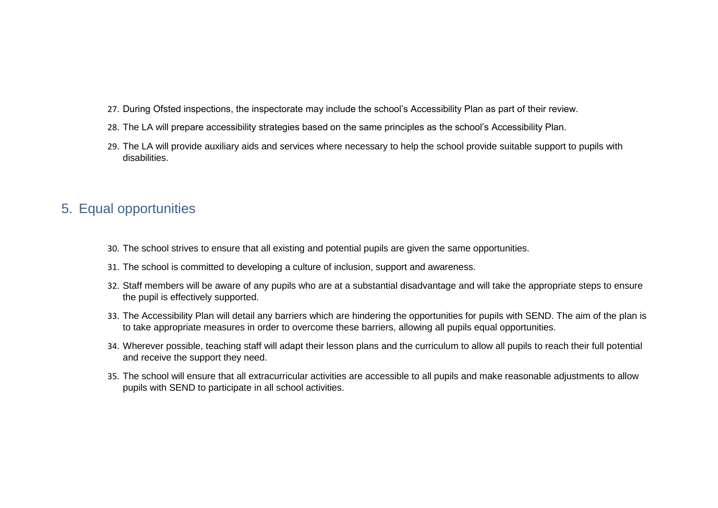- 27. During Ofsted inspections, the inspectorate may include the school's Accessibility Plan as part of their review.
- 28. The LA will prepare accessibility strategies based on the same principles as the school's Accessibility Plan.
- 29. The LA will provide auxiliary aids and services where necessary to help the school provide suitable support to pupils with disabilities.

### 5. Equal opportunities

- 30. The school strives to ensure that all existing and potential pupils are given the same opportunities.
- 31. The school is committed to developing a culture of inclusion, support and awareness.
- 32. Staff members will be aware of any pupils who are at a substantial disadvantage and will take the appropriate steps to ensure the pupil is effectively supported.
- 33. The Accessibility Plan will detail any barriers which are hindering the opportunities for pupils with SEND. The aim of the plan is to take appropriate measures in order to overcome these barriers, allowing all pupils equal opportunities.
- 34. Wherever possible, teaching staff will adapt their lesson plans and the curriculum to allow all pupils to reach their full potential and receive the support they need.
- 35. The school will ensure that all extracurricular activities are accessible to all pupils and make reasonable adjustments to allow pupils with SEND to participate in all school activities.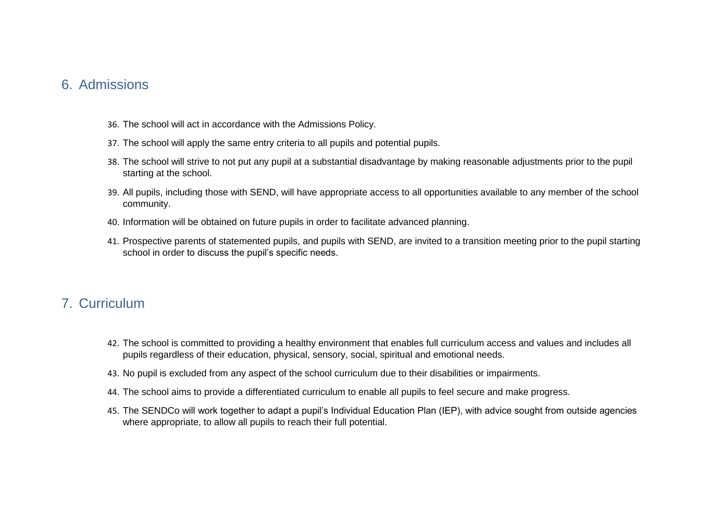#### 6. Admissions

- 36. The school will act in accordance with the Admissions Policy.
- 37. The school will apply the same entry criteria to all pupils and potential pupils.
- 38. The school will strive to not put any pupil at a substantial disadvantage by making reasonable adjustments prior to the pupil starting at the school.
- 39. All pupils, including those with SEND, will have appropriate access to all opportunities available to any member of the school community.
- 40. Information will be obtained on future pupils in order to facilitate advanced planning.
- 41. Prospective parents of statemented pupils, and pupils with SEND, are invited to a transition meeting prior to the pupil starting school in order to discuss the pupil's specific needs.

### 7. Curriculum

- 42. The school is committed to providing a healthy environment that enables full curriculum access and values and includes all pupils regardless of their education, physical, sensory, social, spiritual and emotional needs.
- 43. No pupil is excluded from any aspect of the school curriculum due to their disabilities or impairments.
- 44. The school aims to provide a differentiated curriculum to enable all pupils to feel secure and make progress.
- 45. The SENDCo will work together to adapt a pupil's Individual Education Plan (IEP), with advice sought from outside agencies where appropriate, to allow all pupils to reach their full potential.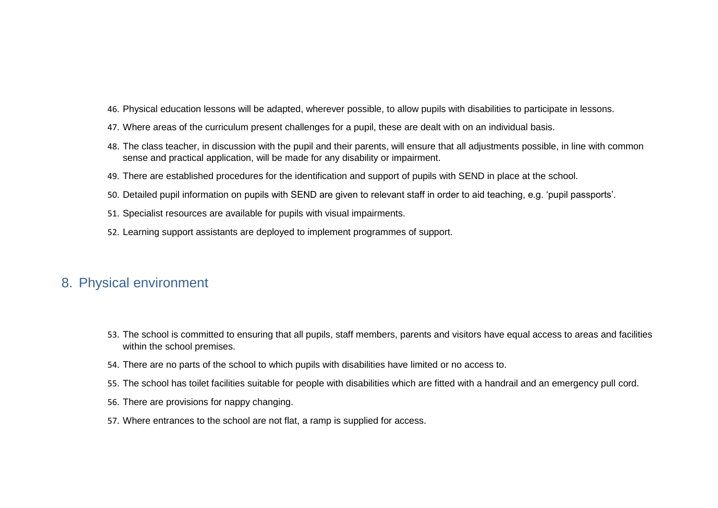- 46. Physical education lessons will be adapted, wherever possible, to allow pupils with disabilities to participate in lessons.
- 47. Where areas of the curriculum present challenges for a pupil, these are dealt with on an individual basis.
- 48. The class teacher, in discussion with the pupil and their parents, will ensure that all adjustments possible, in line with common sense and practical application, will be made for any disability or impairment.
- 49. There are established procedures for the identification and support of pupils with SEND in place at the school.
- 50. Detailed pupil information on pupils with SEND are given to relevant staff in order to aid teaching, e.g. 'pupil passports'.
- 51. Specialist resources are available for pupils with visual impairments.
- 52. Learning support assistants are deployed to implement programmes of support.

#### 8. Physical environment

- 53. The school is committed to ensuring that all pupils, staff members, parents and visitors have equal access to areas and facilities within the school premises.
- 54. There are no parts of the school to which pupils with disabilities have limited or no access to.
- 55. The school has toilet facilities suitable for people with disabilities which are fitted with a handrail and an emergency pull cord.
- 56. There are provisions for nappy changing.
- 57. Where entrances to the school are not flat, a ramp is supplied for access.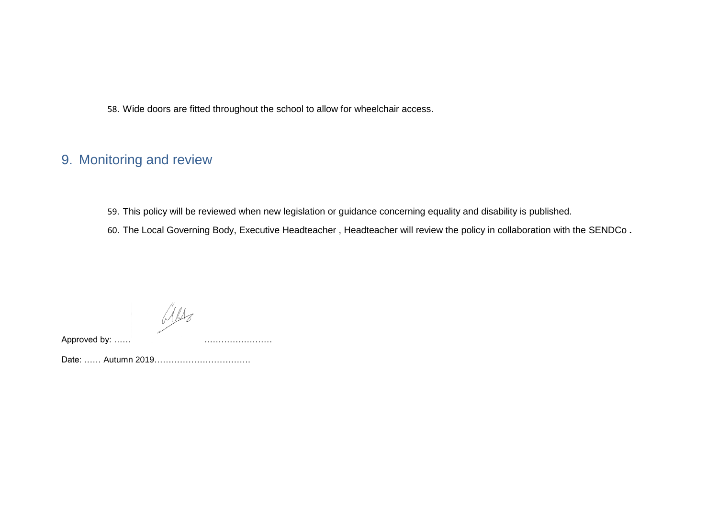58. Wide doors are fitted throughout the school to allow for wheelchair access.

# 9. Monitoring and review

59. This policy will be reviewed when new legislation or guidance concerning equality and disability is published.

60. The Local Governing Body, Executive Headteacher , Headteacher will review the policy in collaboration with the SENDCo **.**

 $M_{\rm HZ}$ 

Approved by: ......

Date: …… Autumn 2019…………………………….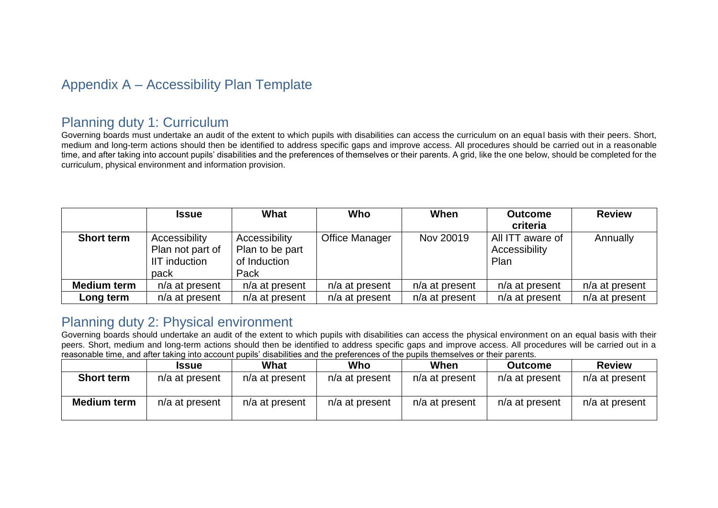# Appendix A – Accessibility Plan Template

### Planning duty 1: Curriculum

Governing boards must undertake an audit of the extent to which pupils with disabilities can access the curriculum on an equal basis with their peers. Short, medium and long-term actions should then be identified to address specific gaps and improve access. All procedures should be carried out in a reasonable time, and after taking into account pupils' disabilities and the preferences of themselves or their parents. A grid, like the one below, should be completed for the curriculum, physical environment and information provision.

|                    | <b>Issue</b>                                               | What                                                     | Who              | When             | <b>Outcome</b><br>criteria                | <b>Review</b>    |
|--------------------|------------------------------------------------------------|----------------------------------------------------------|------------------|------------------|-------------------------------------------|------------------|
| <b>Short term</b>  | Accessibility<br>Plan not part of<br>IIT induction<br>pack | Accessibility<br>Plan to be part<br>of Induction<br>Pack | Office Manager   | Nov 20019        | All ITT aware of<br>Accessibility<br>Plan | Annually         |
| <b>Medium term</b> | $n/a$ at present                                           | n/a at present                                           | n/a at present   | $n/a$ at present | n/a at present                            | $n/a$ at present |
| Long term          | $n/a$ at present                                           | $n/a$ at present                                         | $n/a$ at present | $n/a$ at present | n/a at present                            | $n/a$ at present |

### Planning duty 2: Physical environment

Governing boards should undertake an audit of the extent to which pupils with disabilities can access the physical environment on an equal basis with their peers. Short, medium and long-term actions should then be identified to address specific gaps and improve access. All procedures will be carried out in a reasonable time, and after taking into account pupils' disabilities and the preferences of the pupils themselves or their parents.

|                    | <b>Issue</b>     | What           | Who              | When           | <b>Outcome</b> | <b>Review</b>  |
|--------------------|------------------|----------------|------------------|----------------|----------------|----------------|
| <b>Short term</b>  | n/a at present   | n/a at present | n/a at present   | n/a at present | n/a at present | n/a at present |
| <b>Medium term</b> | $n/a$ at present | n/a at present | $n/a$ at present | n/a at present | n/a at present | n/a at present |